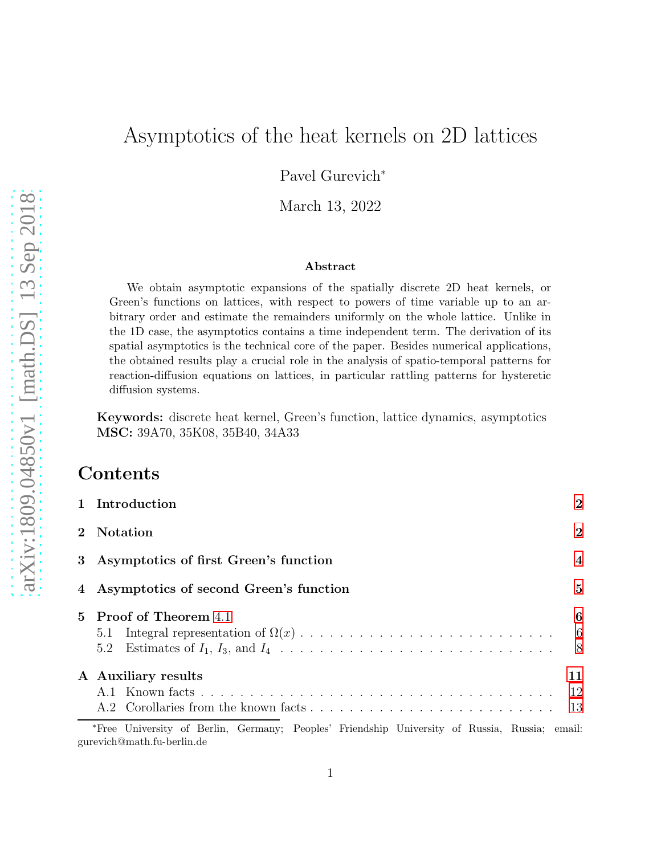# Asymptotics of the heat kernels on 2D lattices

Pavel Gurevich<sup>∗</sup>

March 13, 2022

#### Abstract

We obtain asymptotic expansions of the spatially discrete 2D heat kernels, or Green's functions on lattices, with respect to powers of time variable up to an arbitrary order and estimate the remainders uniformly on the whole lattice. Unlike in the 1D case, the asymptotics contains a time independent term. The derivation of its spatial asymptotics is the technical core of the paper. Besides numerical applications, the obtained results play a crucial role in the analysis of spatio-temporal patterns for reaction-diffusion equations on lattices, in particular rattling patterns for hysteretic diffusion systems.

Keywords: discrete heat kernel, Green's function, lattice dynamics, asymptotics MSC: 39A70, 35K08, 35B40, 34A33

## Contents

gurevich@math.fu-berlin.de

| 1 Introduction                                                                                | $\overline{2}$   |
|-----------------------------------------------------------------------------------------------|------------------|
| 2 Notation                                                                                    | $\boldsymbol{2}$ |
| 3 Asymptotics of first Green's function                                                       | $\overline{4}$   |
| 4 Asymptotics of second Green's function                                                      | $\overline{5}$   |
| 5 Proof of Theorem 4.1                                                                        | 6                |
|                                                                                               | - 6              |
|                                                                                               | -8               |
| A Auxiliary results                                                                           | 11               |
|                                                                                               | -12              |
|                                                                                               | 13               |
| *Free University of Berlin, Germany; Peoples' Friendship University of Russia, Russia; email: |                  |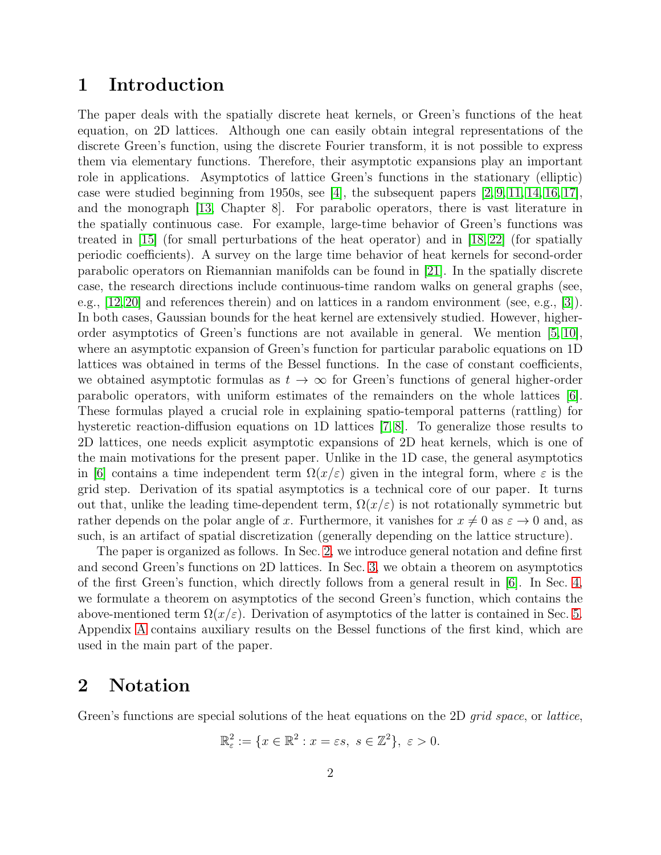## <span id="page-1-0"></span>1 Introduction

The paper deals with the spatially discrete heat kernels, or Green's functions of the heat equation, on 2D lattices. Although one can easily obtain integral representations of the discrete Green's function, using the discrete Fourier transform, it is not possible to express them via elementary functions. Therefore, their asymptotic expansions play an important role in applications. Asymptotics of lattice Green's functions in the stationary (elliptic) case were studied beginning from 1950s, see [\[4\]](#page-16-0), the subsequent papers  $[2, 9, 11, 14, 16, 17]$  $[2, 9, 11, 14, 16, 17]$  $[2, 9, 11, 14, 16, 17]$  $[2, 9, 11, 14, 16, 17]$  $[2, 9, 11, 14, 16, 17]$  $[2, 9, 11, 14, 16, 17]$ , and the monograph [\[13,](#page-17-5) Chapter 8]. For parabolic operators, there is vast literature in the spatially continuous case. For example, large-time behavior of Green's functions was treated in [\[15\]](#page-17-6) (for small perturbations of the heat operator) and in [\[18,](#page-17-7) [22\]](#page-17-8) (for spatially periodic coefficients). A survey on the large time behavior of heat kernels for second-order parabolic operators on Riemannian manifolds can be found in [\[21\]](#page-17-9). In the spatially discrete case, the research directions include continuous-time random walks on general graphs (see, e.g., [\[12,](#page-17-10)[20\]](#page-17-11) and references therein) and on lattices in a random environment (see, e.g., [\[3\]](#page-16-2)). In both cases, Gaussian bounds for the heat kernel are extensively studied. However, higherorder asymptotics of Green's functions are not available in general. We mention [\[5,](#page-16-3) [10\]](#page-17-12), where an asymptotic expansion of Green's function for particular parabolic equations on 1D lattices was obtained in terms of the Bessel functions. In the case of constant coefficients, we obtained asymptotic formulas as  $t \to \infty$  for Green's functions of general higher-order parabolic operators, with uniform estimates of the remainders on the whole lattices [\[6\]](#page-16-4). These formulas played a crucial role in explaining spatio-temporal patterns (rattling) for hysteretic reaction-diffusion equations on 1D lattices [\[7,](#page-16-5) [8\]](#page-17-13). To generalize those results to 2D lattices, one needs explicit asymptotic expansions of 2D heat kernels, which is one of the main motivations for the present paper. Unlike in the 1D case, the general asymptotics in [\[6\]](#page-16-4) contains a time independent term  $\Omega(x/\varepsilon)$  given in the integral form, where  $\varepsilon$  is the grid step. Derivation of its spatial asymptotics is a technical core of our paper. It turns out that, unlike the leading time-dependent term,  $\Omega(x/\varepsilon)$  is not rotationally symmetric but rather depends on the polar angle of x. Furthermore, it vanishes for  $x \neq 0$  as  $\varepsilon \to 0$  and, as such, is an artifact of spatial discretization (generally depending on the lattice structure).

The paper is organized as follows. In Sec. [2,](#page-1-1) we introduce general notation and define first and second Green's functions on 2D lattices. In Sec. [3,](#page-3-0) we obtain a theorem on asymptotics of the first Green's function, which directly follows from a general result in [\[6\]](#page-16-4). In Sec. [4,](#page-4-0) we formulate a theorem on asymptotics of the second Green's function, which contains the above-mentioned term  $\Omega(x/\varepsilon)$ . Derivation of asymptotics of the latter is contained in Sec. [5.](#page-5-0) Appendix [A](#page-10-0) contains auxiliary results on the Bessel functions of the first kind, which are used in the main part of the paper.

### <span id="page-1-1"></span>2 Notation

Green's functions are special solutions of the heat equations on the 2D *grid space*, or *lattice*,

$$
\mathbb{R}_{\varepsilon}^{2} := \{ x \in \mathbb{R}^{2} : x = \varepsilon s, \ s \in \mathbb{Z}^{2} \}, \ \varepsilon > 0.
$$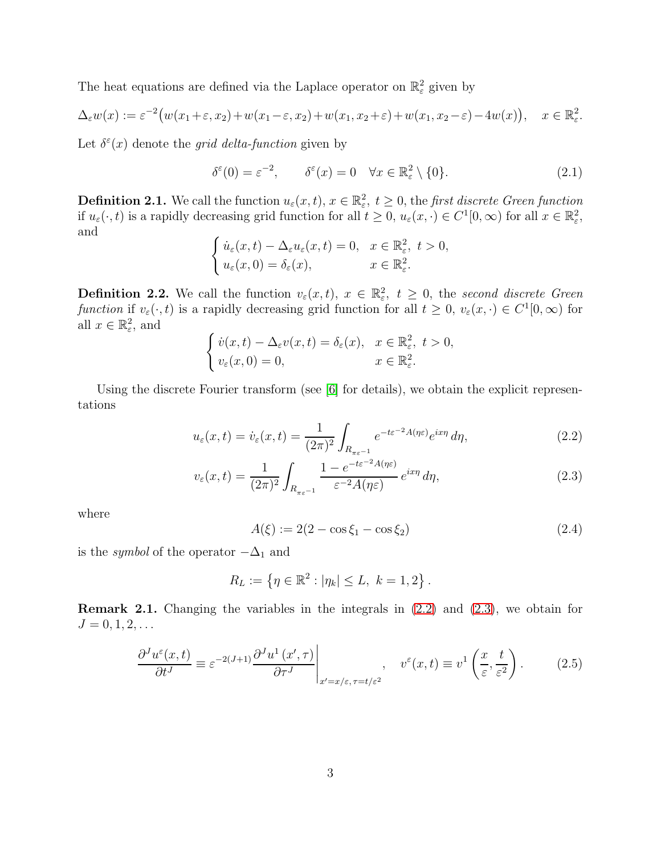The heat equations are defined via the Laplace operator on  $\mathbb{R}^2_{\varepsilon}$  given by

$$
\Delta_{\varepsilon} w(x) := \varepsilon^{-2} \big( w(x_1 + \varepsilon, x_2) + w(x_1 - \varepsilon, x_2) + w(x_1, x_2 + \varepsilon) + w(x_1, x_2 - \varepsilon) - 4w(x) \big), \quad x \in \mathbb{R}^2_{\varepsilon}.
$$

Let  $\delta^{\varepsilon}(x)$  denote the grid delta-function given by

$$
\delta^{\varepsilon}(0) = \varepsilon^{-2}, \qquad \delta^{\varepsilon}(x) = 0 \quad \forall x \in \mathbb{R}^2_{\varepsilon} \setminus \{0\}. \tag{2.1}
$$

**Definition 2.1.** We call the function  $u_{\varepsilon}(x,t)$ ,  $x \in \mathbb{R}_{\varepsilon}^2$ ,  $t \geq 0$ , the first discrete Green function if  $u_{\varepsilon}(\cdot, t)$  is a rapidly decreasing grid function for all  $t \geq 0$ ,  $u_{\varepsilon}(x, \cdot) \in C^{1}[0, \infty)$  for all  $x \in \mathbb{R}_{\varepsilon}^{2}$ , and

$$
\begin{cases} \n\dot{u}_{\varepsilon}(x,t) - \Delta_{\varepsilon} u_{\varepsilon}(x,t) = 0, & x \in \mathbb{R}_{\varepsilon}^2, \ t > 0, \\ \n\dot{u}_{\varepsilon}(x,0) = \delta_{\varepsilon}(x), & x \in \mathbb{R}_{\varepsilon}^2. \n\end{cases}
$$

**Definition 2.2.** We call the function  $v_{\varepsilon}(x,t)$ ,  $x \in \mathbb{R}_{\varepsilon}^2$ ,  $t \geq 0$ , the second discrete Green function if  $v_{\varepsilon}(\cdot, t)$  is a rapidly decreasing grid function for all  $t \geq 0$ ,  $v_{\varepsilon}(x, \cdot) \in C^1[0, \infty)$  for all  $x \in \mathbb{R}_{\varepsilon}^2$ , and

$$
\begin{cases}\n\dot{v}(x,t) - \Delta_{\varepsilon} v(x,t) = \delta_{\varepsilon}(x), & x \in \mathbb{R}_{\varepsilon}^2, \ t > 0, \\
v_{\varepsilon}(x,0) = 0, & x \in \mathbb{R}_{\varepsilon}^2.\n\end{cases}
$$

Using the discrete Fourier transform (see [\[6\]](#page-16-4) for details), we obtain the explicit representations

$$
u_{\varepsilon}(x,t) = \dot{v}_{\varepsilon}(x,t) = \frac{1}{(2\pi)^2} \int_{R_{\pi\varepsilon^{-1}}} e^{-t\varepsilon^{-2}A(\eta\varepsilon)} e^{ix\eta} d\eta,
$$
\n(2.2)

$$
v_{\varepsilon}(x,t) = \frac{1}{(2\pi)^2} \int_{R_{\pi\varepsilon^{-1}}} \frac{1 - e^{-t\varepsilon^{-2}A(\eta\varepsilon)}}{\varepsilon^{-2}A(\eta\varepsilon)} e^{ix\eta} d\eta,
$$
 (2.3)

where

<span id="page-2-2"></span><span id="page-2-1"></span><span id="page-2-0"></span>
$$
A(\xi) := 2(2 - \cos \xi_1 - \cos \xi_2) \tag{2.4}
$$

is the *symbol* of the operator  $-\Delta_1$  and

$$
R_L := \{ \eta \in \mathbb{R}^2 : |\eta_k| \le L, \ k = 1, 2 \}.
$$

<span id="page-2-3"></span>Remark 2.1. Changing the variables in the integrals in [\(2.2\)](#page-2-0) and [\(2.3\)](#page-2-1), we obtain for  $J = 0, 1, 2, \ldots$ 

$$
\frac{\partial^J u^{\varepsilon}(x,t)}{\partial t^J} \equiv \varepsilon^{-2(J+1)} \frac{\partial^J u^1(x',\tau)}{\partial \tau^J}\Big|_{x'=x/\varepsilon,\tau=t/\varepsilon^2}, \quad v^{\varepsilon}(x,t) \equiv v^1\left(\frac{x}{\varepsilon},\frac{t}{\varepsilon^2}\right). \tag{2.5}
$$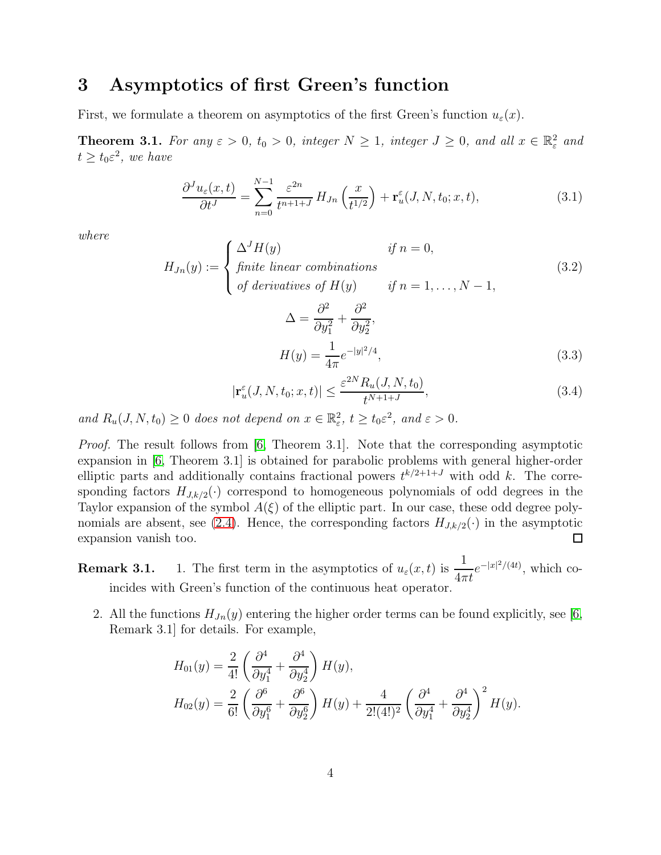## <span id="page-3-0"></span>3 Asymptotics of first Green's function

First, we formulate a theorem on asymptotics of the first Green's function  $u_{\varepsilon}(x)$ .

**Theorem 3.1.** For any  $\varepsilon > 0$ ,  $t_0 > 0$ , integer  $N \ge 1$ , integer  $J \ge 0$ , and all  $x \in \mathbb{R}^2_{\varepsilon}$  and  $t \ge t_0 \varepsilon^2$ , we have

$$
\frac{\partial^J u_{\varepsilon}(x,t)}{\partial t^J} = \sum_{n=0}^{N-1} \frac{\varepsilon^{2n}}{t^{n+1+J}} H_{Jn}\left(\frac{x}{t^{1/2}}\right) + \mathbf{r}_u^{\varepsilon}(J, N, t_0; x, t),\tag{3.1}
$$

where

<span id="page-3-2"></span>
$$
H_{Jn}(y) := \begin{cases} \Delta^J H(y) & \text{if } n = 0, \\ \text{finite linear combinations} \\ \text{of derivatives of } H(y) & \text{if } n = 1, \dots, N - 1, \end{cases} \tag{3.2}
$$
\n
$$
\Delta = \frac{\partial^2}{\partial y_1^2} + \frac{\partial^2}{\partial y_2^2}, \\ H(y) = \frac{1}{4\pi} e^{-|y|^2/4}, \tag{3.3}
$$

<span id="page-3-1"></span>
$$
|\mathbf{r}_u^{\varepsilon}(J, N, t_0; x, t)| \le \frac{\varepsilon^{2N} R_u(J, N, t_0)}{t^{N+1+J}},
$$
\n(3.4)

and  $R_u(J, N, t_0) \ge 0$  does not depend on  $x \in \mathbb{R}_{\varepsilon}^2$ ,  $t \ge t_0 \varepsilon^2$ , and  $\varepsilon > 0$ .

Proof. The result follows from [\[6,](#page-16-4) Theorem 3.1]. Note that the corresponding asymptotic expansion in [\[6,](#page-16-4) Theorem 3.1] is obtained for parabolic problems with general higher-order elliptic parts and additionally contains fractional powers  $t^{k/2+1+J}$  with odd k. The corresponding factors  $H_{J,k/2}(\cdot)$  correspond to homogeneous polynomials of odd degrees in the Taylor expansion of the symbol  $A(\xi)$  of the elliptic part. In our case, these odd degree poly-nomials are absent, see [\(2.4\)](#page-2-2). Hence, the corresponding factors  $H_{J,k/2}(\cdot)$  in the asymptotic expansion vanish too. expansion vanish too.

**Remark 3.1.** 1. The first term in the asymptotics of  $u_{\varepsilon}(x, t)$  is  $\frac{1}{4\pi t}$  $e^{-|x|^2/(4t)}$ , which coincides with Green's function of the continuous heat operator.

2. All the functions  $H_{Jn}(y)$  entering the higher order terms can be found explicitly, see [\[6,](#page-16-4) Remark 3.1] for details. For example,

$$
H_{01}(y) = \frac{2}{4!} \left( \frac{\partial^4}{\partial y_1^4} + \frac{\partial^4}{\partial y_2^4} \right) H(y),
$$
  
\n
$$
H_{02}(y) = \frac{2}{6!} \left( \frac{\partial^6}{\partial y_1^6} + \frac{\partial^6}{\partial y_2^6} \right) H(y) + \frac{4}{2!(4!)^2} \left( \frac{\partial^4}{\partial y_1^4} + \frac{\partial^4}{\partial y_2^4} \right)^2 H(y).
$$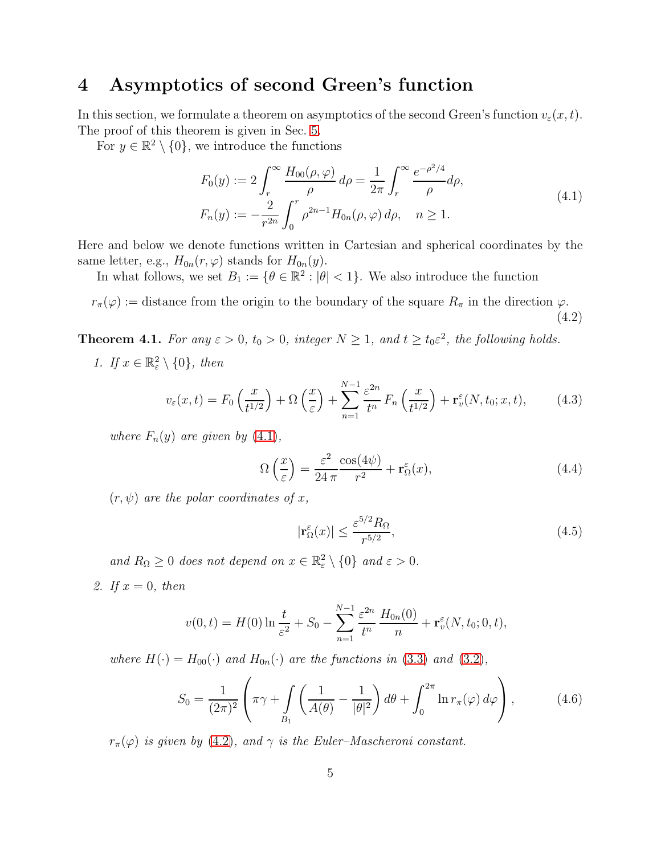## <span id="page-4-0"></span>4 Asymptotics of second Green's function

In this section, we formulate a theorem on asymptotics of the second Green's function  $v_{\varepsilon}(x, t)$ . The proof of this theorem is given in Sec. [5.](#page-5-0)

For  $y \in \mathbb{R}^2 \setminus \{0\}$ , we introduce the functions

<span id="page-4-2"></span>
$$
F_0(y) := 2 \int_r^{\infty} \frac{H_{00}(\rho, \varphi)}{\rho} d\rho = \frac{1}{2\pi} \int_r^{\infty} \frac{e^{-\rho^2/4}}{\rho} d\rho,
$$
  
\n
$$
F_n(y) := -\frac{2}{r^{2n}} \int_0^r \rho^{2n-1} H_{0n}(\rho, \varphi) d\rho, \quad n \ge 1.
$$
\n(4.1)

Here and below we denote functions written in Cartesian and spherical coordinates by the same letter, e.g.,  $H_{0n}(r, \varphi)$  stands for  $H_{0n}(y)$ .

In what follows, we set  $B_1 := \{ \theta \in \mathbb{R}^2 : |\theta| < 1 \}$ . We also introduce the function

<span id="page-4-3"></span> $r_{\pi}(\varphi) := \text{distance from the origin to the boundary of the square } R_{\pi} \text{ in the direction } \varphi.$ (4.2)

<span id="page-4-5"></span><span id="page-4-1"></span>**Theorem 4.1.** For any  $\varepsilon > 0$ ,  $t_0 > 0$ , integer  $N \ge 1$ , and  $t \ge t_0 \varepsilon^2$ , the following holds.

1. If  $x \in \mathbb{R}^2_{\varepsilon} \setminus \{0\}$ , then

$$
v_{\varepsilon}(x,t) = F_0\left(\frac{x}{t^{1/2}}\right) + \Omega\left(\frac{x}{\varepsilon}\right) + \sum_{n=1}^{N-1} \frac{\varepsilon^{2n}}{t^n} F_n\left(\frac{x}{t^{1/2}}\right) + \mathbf{r}_v^{\varepsilon}(N, t_0; x, t),\tag{4.3}
$$

where  $F_n(y)$  are given by  $(4.1)$ ,

<span id="page-4-7"></span>
$$
\Omega\left(\frac{x}{\varepsilon}\right) = \frac{\varepsilon^2}{24\,\pi} \frac{\cos(4\psi)}{r^2} + \mathbf{r}_\Omega^\varepsilon(x),\tag{4.4}
$$

 $(r, \psi)$  are the polar coordinates of x,

<span id="page-4-8"></span>
$$
|\mathbf{r}_{\Omega}^{\varepsilon}(x)| \le \frac{\varepsilon^{5/2} R_{\Omega}}{r^{5/2}},\tag{4.5}
$$

and  $R_{\Omega} \geq 0$  does not depend on  $x \in \mathbb{R}^2_{\varepsilon} \setminus \{0\}$  and  $\varepsilon > 0$ .

<span id="page-4-4"></span>2. If  $x = 0$ , then

$$
v(0,t) = H(0) \ln \frac{t}{\varepsilon^2} + S_0 - \sum_{n=1}^{N-1} \frac{\varepsilon^{2n}}{t^n} \frac{H_{0n}(0)}{n} + \mathbf{r}_v^{\varepsilon}(N, t_0; 0, t),
$$

where  $H(\cdot) = H_{00}(\cdot)$  and  $H_{0n}(\cdot)$  are the functions in [\(3.3\)](#page-3-1) and [\(3.2\)](#page-3-2),

<span id="page-4-6"></span>
$$
S_0 = \frac{1}{(2\pi)^2} \left( \pi \gamma + \int\limits_{B_1} \left( \frac{1}{A(\theta)} - \frac{1}{|\theta|^2} \right) d\theta + \int_0^{2\pi} \ln r_\pi(\varphi) d\varphi \right), \tag{4.6}
$$

 $r_{\pi}(\varphi)$  is given by [\(4.2\)](#page-4-3), and  $\gamma$  is the Euler–Mascheroni constant.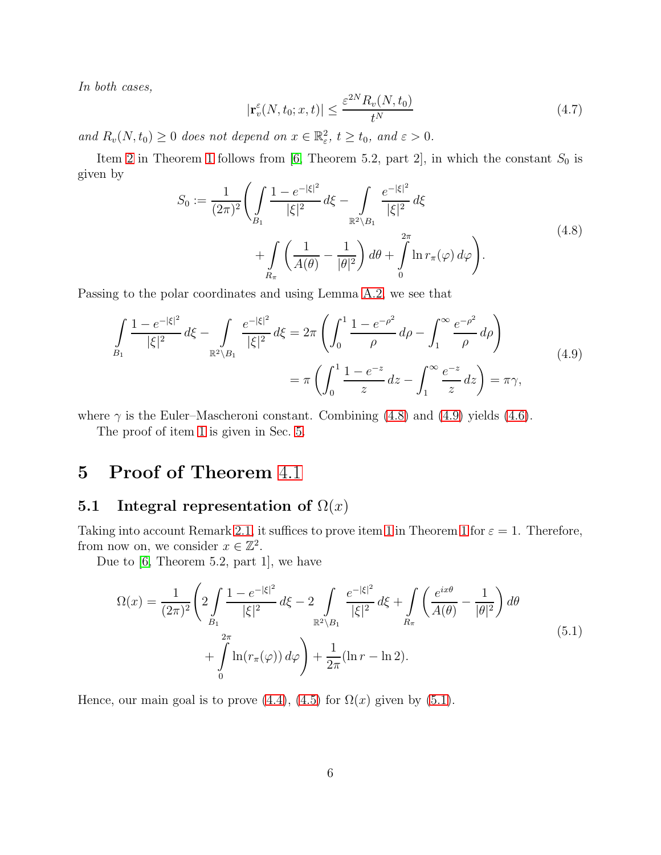In both cases,

$$
|\mathbf{r}_v^{\varepsilon}(N, t_0; x, t)| \le \frac{\varepsilon^{2N} R_v(N, t_0)}{t^N}
$$
\n(4.7)

and  $R_v(N, t_0) \ge 0$  does not depend on  $x \in \mathbb{R}^2_\varepsilon$ ,  $t \ge t_0$ , and  $\varepsilon > 0$ .

Item [2](#page-4-4) in Theorem [1](#page-4-5) follows from [\[6,](#page-16-4) Theorem 5.2, part 2], in which the constant  $S_0$  is given by

<span id="page-5-2"></span>
$$
S_0 := \frac{1}{(2\pi)^2} \left( \int_{B_1} \frac{1 - e^{-|\xi|^2}}{|\xi|^2} d\xi - \int_{\mathbb{R}^2 \setminus B_1} \frac{e^{-|\xi|^2}}{|\xi|^2} d\xi + \int_{R_{\pi}} \left( \frac{1}{A(\theta)} - \frac{1}{|\theta|^2} \right) d\theta + \int_{0}^{2\pi} \ln r_{\pi}(\varphi) d\varphi \right).
$$
\n(4.8)

Passing to the polar coordinates and using Lemma [A.2,](#page-11-1) we see that

<span id="page-5-3"></span>
$$
\int_{B_1} \frac{1 - e^{-|\xi|^2}}{|\xi|^2} d\xi - \int_{\mathbb{R}^2 \setminus B_1} \frac{e^{-|\xi|^2}}{|\xi|^2} d\xi = 2\pi \left( \int_0^1 \frac{1 - e^{-\rho^2}}{\rho} d\rho - \int_1^\infty \frac{e^{-\rho^2}}{\rho} d\rho \right)
$$
\n
$$
= \pi \left( \int_0^1 \frac{1 - e^{-z}}{z} dz - \int_1^\infty \frac{e^{-z}}{z} dz \right) = \pi \gamma,
$$
\n(4.9)

where  $\gamma$  is the Euler–Mascheroni constant. Combining [\(4.8\)](#page-5-2) and [\(4.9\)](#page-5-3) yields [\(4.6\)](#page-4-6).

The proof of item [1](#page-4-5) is given in Sec. [5.](#page-5-0)

## <span id="page-5-1"></span><span id="page-5-0"></span>5 Proof of Theorem [4](#page-4-1).1

#### 5.1 Integral representation of  $\Omega(x)$

Taking into account Remark [2.1,](#page-2-3) it suffices to prove item [1](#page-4-5) in Theorem 1 for  $\varepsilon = 1$ . Therefore, from now on, we consider  $x \in \mathbb{Z}^2$ .

Due to [\[6,](#page-16-4) Theorem 5.2, part 1], we have

<span id="page-5-4"></span>
$$
\Omega(x) = \frac{1}{(2\pi)^2} \left( 2 \int_{B_1} \frac{1 - e^{-|\xi|^2}}{|\xi|^2} d\xi - 2 \int_{\mathbb{R}^2 \setminus B_1} \frac{e^{-|\xi|^2}}{|\xi|^2} d\xi + \int_{R_\pi} \left( \frac{e^{ix\theta}}{A(\theta)} - \frac{1}{|\theta|^2} \right) d\theta \right)
$$
  
+ 
$$
\int_{0}^{2\pi} \ln(r_\pi(\varphi)) d\varphi \right) + \frac{1}{2\pi} (\ln r - \ln 2).
$$
 (5.1)

Hence, our main goal is to prove [\(4.4\)](#page-4-7), [\(4.5\)](#page-4-8) for  $\Omega(x)$  given by [\(5.1\)](#page-5-4).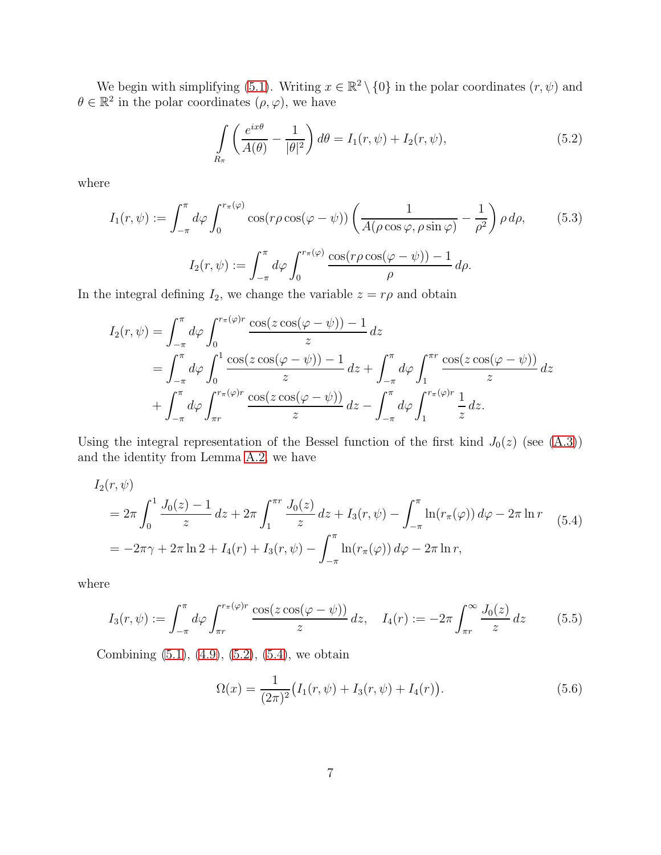We begin with simplifying [\(5.1\)](#page-5-4). Writing  $x \in \mathbb{R}^2 \setminus \{0\}$  in the polar coordinates  $(r, \psi)$  and  $\theta \in \mathbb{R}^2$  in the polar coordinates  $(\rho, \varphi)$ , we have

<span id="page-6-0"></span>
$$
\int\limits_{R_{\pi}} \left( \frac{e^{ix\theta}}{A(\theta)} - \frac{1}{|\theta|^2} \right) d\theta = I_1(r, \psi) + I_2(r, \psi), \tag{5.2}
$$

where

<span id="page-6-2"></span>
$$
I_1(r,\psi) := \int_{-\pi}^{\pi} d\varphi \int_0^{r_\pi(\varphi)} \cos(r\rho \cos(\varphi - \psi)) \left( \frac{1}{A(\rho \cos \varphi, \rho \sin \varphi)} - \frac{1}{\rho^2} \right) \rho d\rho, \qquad (5.3)
$$

$$
I_2(r,\psi) := \int_{-\pi}^{\pi} d\varphi \int_0^{r_\pi(\varphi)} \frac{\cos(r\rho \cos(\varphi - \psi)) - 1}{\rho} d\rho.
$$

In the integral defining  $I_2$ , we change the variable  $z = r\rho$  and obtain

$$
I_2(r,\psi) = \int_{-\pi}^{\pi} d\varphi \int_0^{r_\pi(\varphi)r} \frac{\cos(z \cos(\varphi - \psi)) - 1}{z} dz
$$
  
= 
$$
\int_{-\pi}^{\pi} d\varphi \int_0^1 \frac{\cos(z \cos(\varphi - \psi)) - 1}{z} dz + \int_{-\pi}^{\pi} d\varphi \int_1^{\pi r} \frac{\cos(z \cos(\varphi - \psi))}{z} dz
$$
  
+ 
$$
\int_{-\pi}^{\pi} d\varphi \int_{\pi r}^{r_\pi(\varphi)r} \frac{\cos(z \cos(\varphi - \psi))}{z} dz - \int_{-\pi}^{\pi} d\varphi \int_1^{r_\pi(\varphi)r} \frac{1}{z} dz.
$$

Using the integral representation of the Bessel function of the first kind  $J_0(z)$  (see [\(A.3\)](#page-11-2)) and the identity from Lemma [A.2,](#page-11-1) we have

<span id="page-6-1"></span>
$$
I_2(r,\psi)
$$
  
=  $2\pi \int_0^1 \frac{J_0(z) - 1}{z} dz + 2\pi \int_1^{\pi r} \frac{J_0(z)}{z} dz + I_3(r,\psi) - \int_{-\pi}^{\pi} \ln(r_\pi(\varphi)) d\varphi - 2\pi \ln r$  (5.4)  
=  $-2\pi \gamma + 2\pi \ln 2 + I_4(r) + I_3(r,\psi) - \int_{-\pi}^{\pi} \ln(r_\pi(\varphi)) d\varphi - 2\pi \ln r$ ,

where

$$
I_3(r,\psi) := \int_{-\pi}^{\pi} d\varphi \int_{\pi r}^{r_\pi(\varphi)r} \frac{\cos(z \cos(\varphi - \psi))}{z} dz, \quad I_4(r) := -2\pi \int_{\pi r}^{\infty} \frac{J_0(z)}{z} dz \quad (5.5)
$$

Combining [\(5.1\)](#page-5-4), [\(4.9\)](#page-5-3), [\(5.2\)](#page-6-0), [\(5.4\)](#page-6-1), we obtain

<span id="page-6-3"></span>
$$
\Omega(x) = \frac{1}{(2\pi)^2} \big( I_1(r, \psi) + I_3(r, \psi) + I_4(r) \big). \tag{5.6}
$$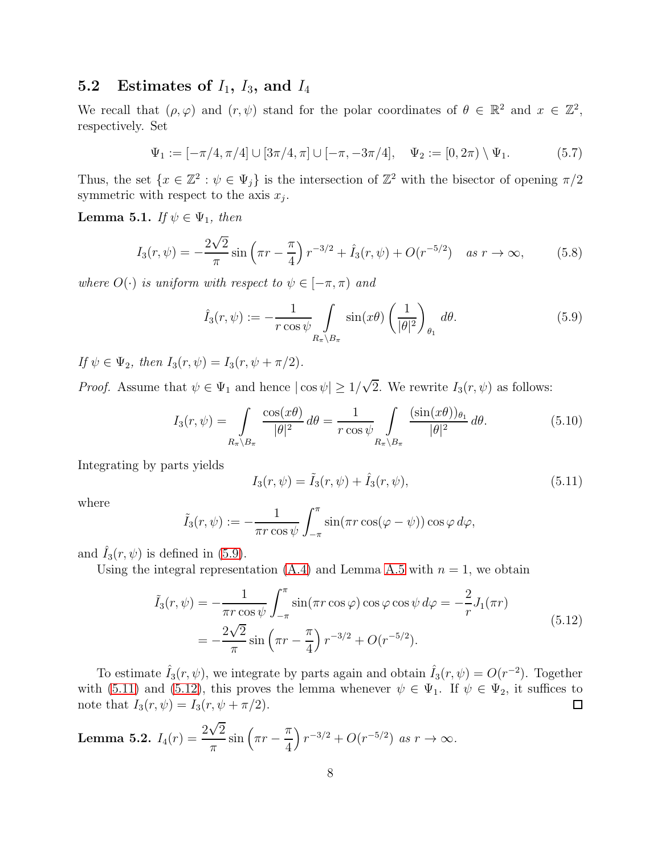### <span id="page-7-0"></span>5.2 Estimates of  $I_1$ ,  $I_3$ , and  $I_4$

We recall that  $(\rho, \varphi)$  and  $(r, \psi)$  stand for the polar coordinates of  $\theta \in \mathbb{R}^2$  and  $x \in \mathbb{Z}^2$ , respectively. Set

$$
\Psi_1 := [-\pi/4, \pi/4] \cup [3\pi/4, \pi] \cup [-\pi, -3\pi/4], \quad \Psi_2 := [0, 2\pi) \setminus \Psi_1.
$$
 (5.7)

Thus, the set  $\{x \in \mathbb{Z}^2 : \psi \in \Psi_j\}$  is the intersection of  $\mathbb{Z}^2$  with the bisector of opening  $\pi/2$ symmetric with respect to the axis  $x_j$ .

<span id="page-7-4"></span>**Lemma 5.1.** If  $\psi \in \Psi_1$ , then

$$
I_3(r,\psi) = -\frac{2\sqrt{2}}{\pi}\sin\left(\pi r - \frac{\pi}{4}\right)r^{-3/2} + \hat{I}_3(r,\psi) + O(r^{-5/2}) \quad \text{as } r \to \infty,
$$
 (5.8)

where  $O(\cdot)$  is uniform with respect to  $\psi \in [-\pi, \pi)$  and

<span id="page-7-1"></span>
$$
\hat{I}_3(r,\psi) := -\frac{1}{r \cos \psi} \int\limits_{R_\pi \backslash B_\pi} \sin(x\theta) \left(\frac{1}{|\theta|^2}\right)_{\theta_1} d\theta. \tag{5.9}
$$

If  $\psi \in \Psi_2$ , then  $I_3(r, \psi) = I_3(r, \psi + \pi/2)$ .

*Proof.* Assume that  $\psi \in \Psi_1$  and hence  $|\cos \psi| \geq 1/\sqrt{2}$ . We rewrite  $I_3(r, \psi)$  as follows:

$$
I_3(r,\psi) = \int\limits_{R_\pi \backslash B_\pi} \frac{\cos(x\theta)}{|\theta|^2} d\theta = \frac{1}{r \cos \psi} \int\limits_{R_\pi \backslash B_\pi} \frac{(\sin(x\theta))_{\theta_1}}{|\theta|^2} d\theta.
$$
 (5.10)

Integrating by parts yields

<span id="page-7-2"></span>
$$
I_3(r,\psi) = \tilde{I}_3(r,\psi) + \hat{I}_3(r,\psi),
$$
\n(5.11)

where

$$
\tilde{I}_3(r,\psi) := -\frac{1}{\pi r \cos \psi} \int_{-\pi}^{\pi} \sin(\pi r \cos(\varphi - \psi)) \cos \varphi \, d\varphi,
$$

and  $\hat{I}_3(r, \psi)$  is defined in [\(5.9\)](#page-7-1).

Using the integral representation  $(A.4)$  and Lemma [A.5](#page-11-4) with  $n = 1$ , we obtain

<span id="page-7-3"></span>
$$
\tilde{I}_3(r,\psi) = -\frac{1}{\pi r \cos \psi} \int_{-\pi}^{\pi} \sin(\pi r \cos \varphi) \cos \varphi \cos \psi \, d\varphi = -\frac{2}{r} J_1(\pi r)
$$
\n
$$
= -\frac{2\sqrt{2}}{\pi} \sin\left(\pi r - \frac{\pi}{4}\right) r^{-3/2} + O(r^{-5/2}).
$$
\n(5.12)

To estimate  $\hat{I}_3(r,\psi)$ , we integrate by parts again and obtain  $\hat{I}_3(r,\psi) = O(r^{-2})$ . Together with [\(5.11\)](#page-7-2) and [\(5.12\)](#page-7-3), this proves the lemma whenever  $\psi \in \Psi_1$ . If  $\psi \in \Psi_2$ , it suffices to note that  $I_3(r, \psi) = I_3(r, \psi + \pi/2)$ . note that  $I_3(r, \psi) = I_3(r, \psi + \pi/2)$ .

<span id="page-7-5"></span>**Lemma 5.2.** 
$$
I_4(r) = \frac{2\sqrt{2}}{\pi} \sin\left(\pi r - \frac{\pi}{4}\right) r^{-3/2} + O(r^{-5/2}) \text{ as } r \to \infty.
$$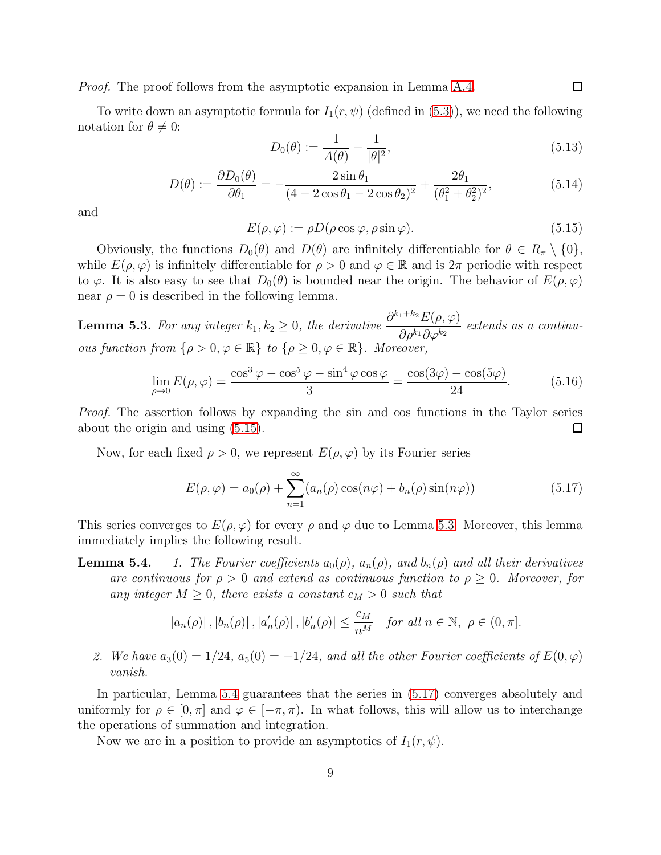Proof. The proof follows from the asymptotic expansion in Lemma [A.4.](#page-11-5)

To write down an asymptotic formula for  $I_1(r, \psi)$  (defined in [\(5.3\)](#page-6-2)), we need the following notation for  $\theta \neq 0$ :

<span id="page-8-3"></span>
$$
D_0(\theta) := \frac{1}{A(\theta)} - \frac{1}{|\theta|^2},\tag{5.13}
$$

<span id="page-8-4"></span>
$$
D(\theta) := \frac{\partial D_0(\theta)}{\partial \theta_1} = -\frac{2\sin\theta_1}{(4 - 2\cos\theta_1 - 2\cos\theta_2)^2} + \frac{2\theta_1}{(\theta_1^2 + \theta_2^2)^2},
$$
(5.14)

and

<span id="page-8-0"></span>
$$
E(\rho, \varphi) := \rho D(\rho \cos \varphi, \rho \sin \varphi).
$$
\n(5.15)

Obviously, the functions  $D_0(\theta)$  and  $D(\theta)$  are infinitely differentiable for  $\theta \in R_\pi \setminus \{0\},$ while  $E(\rho, \varphi)$  is infinitely differentiable for  $\rho > 0$  and  $\varphi \in \mathbb{R}$  and is  $2\pi$  periodic with respect to  $\varphi$ . It is also easy to see that  $D_0(\theta)$  is bounded near the origin. The behavior of  $E(\rho, \varphi)$ near  $\rho = 0$  is described in the following lemma.

<span id="page-8-1"></span>**Lemma 5.3.** For any integer  $k_1, k_2 \ge 0$ , the derivative  $\frac{\partial^{k_1+k_2} E(\rho, \varphi)}{\partial \rho^{k_1} \partial \varphi^{k_2}}$  $\partial \rho^{k_1} \partial \varphi^{k_2}$ extends as a continuous function from  $\{\rho > 0, \varphi \in \mathbb{R}\}\$  to  $\{\rho \geq 0, \varphi \in \mathbb{R}\}\$ . Moreover,

$$
\lim_{\rho \to 0} E(\rho, \varphi) = \frac{\cos^3 \varphi - \cos^5 \varphi - \sin^4 \varphi \cos \varphi}{3} = \frac{\cos(3\varphi) - \cos(5\varphi)}{24}.
$$
(5.16)

Proof. The assertion follows by expanding the sin and cos functions in the Taylor series about the origin and using [\(5.15\)](#page-8-0). □

Now, for each fixed  $\rho > 0$ , we represent  $E(\rho, \varphi)$  by its Fourier series

<span id="page-8-2"></span>
$$
E(\rho, \varphi) = a_0(\rho) + \sum_{n=1}^{\infty} (a_n(\rho) \cos(n\varphi) + b_n(\rho) \sin(n\varphi))
$$
 (5.17)

This series converges to  $E(\rho, \varphi)$  for every  $\rho$  and  $\varphi$  due to Lemma [5.3.](#page-8-1) Moreover, this lemma immediately implies the following result.

**Lemma 5.4.** 1. The Fourier coefficients  $a_0(\rho)$ ,  $a_n(\rho)$ , and  $b_n(\rho)$  and all their derivatives are continuous for  $\rho > 0$  and extend as continuous function to  $\rho \geq 0$ . Moreover, for any integer  $M \geq 0$ , there exists a constant  $c_M > 0$  such that

$$
|a_n(\rho)|
$$
,  $|b_n(\rho)|$ ,  $|a'_n(\rho)|$ ,  $|b'_n(\rho)| \le \frac{c_M}{n^M}$  for all  $n \in \mathbb{N}$ ,  $\rho \in (0, \pi]$ .

2. We have  $a_3(0) = 1/24$ ,  $a_5(0) = -1/24$ , and all the other Fourier coefficients of  $E(0, \varphi)$ vanish.

In particular, Lemma 5.4 guarantees that the series in [\(5.17\)](#page-8-2) converges absolutely and uniformly for  $\rho \in [0, \pi]$  and  $\varphi \in [-\pi, \pi)$ . In what follows, this will allow us to interchange the operations of summation and integration.

Now we are in a position to provide an asymptotics of  $I_1(r, \psi)$ .

 $\Box$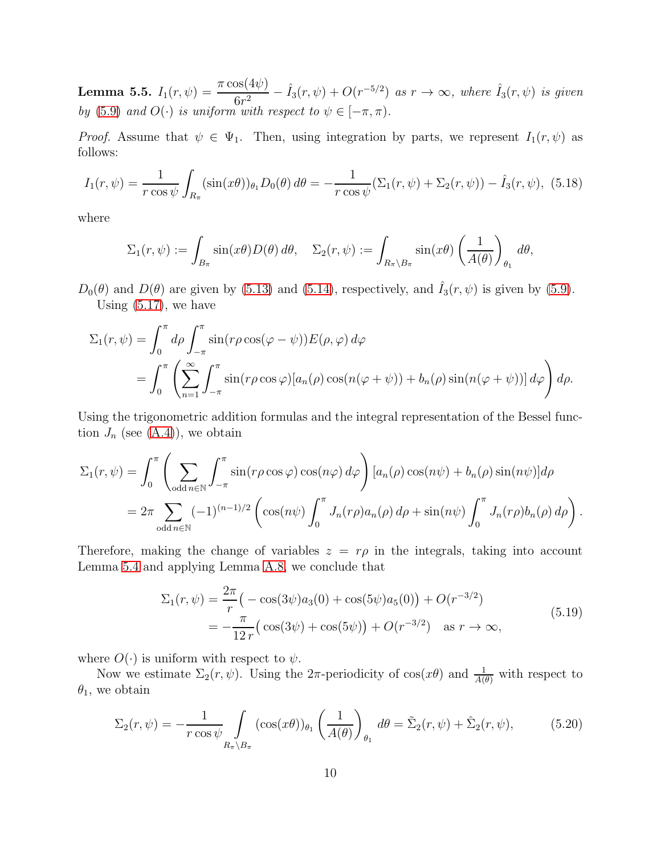<span id="page-9-1"></span>**Lemma 5.5.**  $I_1(r,\psi) = \frac{\pi \cos(4\psi)}{6r^2} - \hat{I}_3(r,\psi) + O(r^{-5/2})$  as  $r \to \infty$ , where  $\hat{I}_3(r,\psi)$  is given by [\(5.9\)](#page-7-1) and  $O(\cdot)$  is uniform with respect to  $\psi \in [-\pi, \pi)$ .

*Proof.* Assume that  $\psi \in \Psi_1$ . Then, using integration by parts, we represent  $I_1(r, \psi)$  as follows:

<span id="page-9-0"></span>
$$
I_1(r,\psi) = \frac{1}{r \cos \psi} \int_{R_{\pi}} (\sin(x\theta)) \theta_1 D_0(\theta) \, d\theta = -\frac{1}{r \cos \psi} (\Sigma_1(r,\psi) + \Sigma_2(r,\psi)) - \hat{I}_3(r,\psi), \tag{5.18}
$$

where

$$
\Sigma_1(r,\psi) := \int_{B_{\pi}} \sin(x\theta) D(\theta) d\theta, \quad \Sigma_2(r,\psi) := \int_{R_{\pi} \setminus B_{\pi}} \sin(x\theta) \left(\frac{1}{A(\theta)}\right)_{\theta_1} d\theta,
$$

 $D_0(\theta)$  and  $D(\theta)$  are given by [\(5.13\)](#page-8-3) and [\(5.14\)](#page-8-4), respectively, and  $\hat{I}_3(r,\psi)$  is given by [\(5.9\)](#page-7-1). Using [\(5.17\)](#page-8-2), we have

$$
\Sigma_1(r,\psi) = \int_0^{\pi} d\rho \int_{-\pi}^{\pi} \sin(r\rho \cos(\varphi - \psi)) E(\rho, \varphi) d\varphi
$$
  
= 
$$
\int_0^{\pi} \left( \sum_{n=1}^{\infty} \int_{-\pi}^{\pi} \sin(r\rho \cos \varphi) [a_n(\rho) \cos(n(\varphi + \psi)) + b_n(\rho) \sin(n(\varphi + \psi))] d\varphi \right) d\rho.
$$

Using the trigonometric addition formulas and the integral representation of the Bessel function  $J_n$  (see  $(A.4)$ ), we obtain

$$
\Sigma_1(r,\psi) = \int_0^{\pi} \left( \sum_{\text{odd } n \in \mathbb{N}} \int_{-\pi}^{\pi} \sin(r\rho\cos\varphi) \cos(n\varphi) d\varphi \right) [a_n(\rho) \cos(n\psi) + b_n(\rho) \sin(n\psi)] d\rho
$$
  
=  $2\pi \sum_{\text{odd } n \in \mathbb{N}} (-1)^{(n-1)/2} \left( \cos(n\psi) \int_0^{\pi} J_n(r\rho) a_n(\rho) d\rho + \sin(n\psi) \int_0^{\pi} J_n(r\rho) b_n(\rho) d\rho \right).$ 

Therefore, making the change of variables  $z = r\rho$  in the integrals, taking into account Lemma 5.4 and applying Lemma [A.8,](#page-14-0) we conclude that

$$
\Sigma_1(r,\psi) = \frac{2\pi}{r} \left( -\cos(3\psi)a_3(0) + \cos(5\psi)a_5(0) \right) + O(r^{-3/2})
$$
  
= 
$$
-\frac{\pi}{12r} \left( \cos(3\psi) + \cos(5\psi) \right) + O(r^{-3/2}) \quad \text{as } r \to \infty,
$$
 (5.19)

where  $O(\cdot)$  is uniform with respect to  $\psi$ .

Now we estimate  $\Sigma_2(r,\psi)$ . Using the  $2\pi$ -periodicity of  $\cos(x\theta)$  and  $\frac{1}{A(\theta)}$  with respect to  $\theta_1$ , we obtain

$$
\Sigma_2(r,\psi) = -\frac{1}{r\cos\psi} \int\limits_{R_\pi \backslash B_\pi} (\cos(x\theta))_{\theta_1} \left(\frac{1}{A(\theta)}\right)_{\theta_1} d\theta = \tilde{\Sigma}_2(r,\psi) + \hat{\Sigma}_2(r,\psi),\tag{5.20}
$$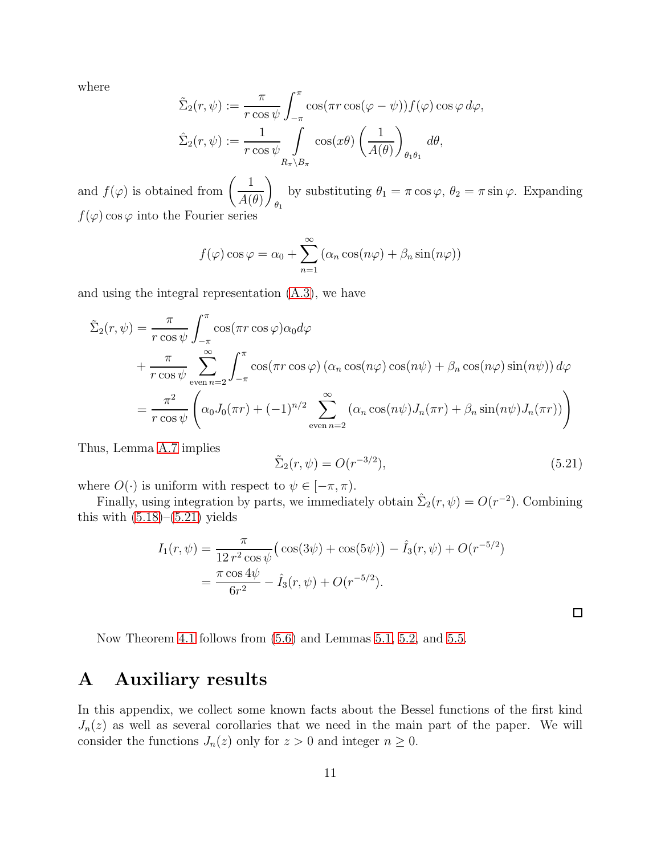where

$$
\tilde{\Sigma}_2(r,\psi) := \frac{\pi}{r \cos \psi} \int_{-\pi}^{\pi} \cos(\pi r \cos(\varphi - \psi)) f(\varphi) \cos \varphi \, d\varphi,
$$
  

$$
\hat{\Sigma}_2(r,\psi) := \frac{1}{r \cos \psi} \int_{R_{\pi} \setminus B_{\pi}} \cos(x\theta) \left(\frac{1}{A(\theta)}\right)_{\theta_1 \theta_1} d\theta,
$$

and  $f(\varphi)$  is obtained from  $\left(\frac{1}{\Lambda}\right)$  $A(\theta)$  $\setminus$  $\theta_1$ by substituting  $\theta_1 = \pi \cos \varphi$ ,  $\theta_2 = \pi \sin \varphi$ . Expanding  $f(\varphi)$  cos  $\varphi$  into the Fourier series

$$
f(\varphi)\cos\varphi = \alpha_0 + \sum_{n=1}^{\infty} (\alpha_n \cos(n\varphi) + \beta_n \sin(n\varphi))
$$

and using the integral representation [\(A.3\)](#page-11-2), we have

$$
\tilde{\Sigma}_2(r,\psi) = \frac{\pi}{r \cos \psi} \int_{-\pi}^{\pi} \cos(\pi r \cos \varphi) \alpha_0 d\varphi \n+ \frac{\pi}{r \cos \psi} \sum_{\text{even } n=2}^{\infty} \int_{-\pi}^{\pi} \cos(\pi r \cos \varphi) (\alpha_n \cos(n\varphi) \cos(n\psi) + \beta_n \cos(n\varphi) \sin(n\psi)) d\varphi \n= \frac{\pi^2}{r \cos \psi} \left( \alpha_0 J_0(\pi r) + (-1)^{n/2} \sum_{\text{even } n=2}^{\infty} (\alpha_n \cos(n\psi) J_n(\pi r) + \beta_n \sin(n\psi) J_n(\pi r)) \right)
$$

Thus, Lemma [A.7](#page-13-0) implies

<span id="page-10-1"></span>
$$
\tilde{\Sigma}_2(r,\psi) = O(r^{-3/2}),\tag{5.21}
$$

 $\Box$ 

where  $O(\cdot)$  is uniform with respect to  $\psi \in [-\pi, \pi)$ .

Finally, using integration by parts, we immediately obtain  $\hat{\Sigma}_2(r,\psi) = O(r^{-2})$ . Combining this with  $(5.18)$ – $(5.21)$  yields

$$
I_1(r,\psi) = \frac{\pi}{12 r^2 \cos \psi} \left( \cos(3\psi) + \cos(5\psi) \right) - \hat{I}_3(r,\psi) + O(r^{-5/2})
$$
  
= 
$$
\frac{\pi \cos 4\psi}{6r^2} - \hat{I}_3(r,\psi) + O(r^{-5/2}).
$$

Now Theorem [4.1](#page-4-1) follows from [\(5.6\)](#page-6-3) and Lemmas [5.1,](#page-7-4) [5.2,](#page-7-5) and [5.5.](#page-9-1)

### <span id="page-10-0"></span>A Auxiliary results

In this appendix, we collect some known facts about the Bessel functions of the first kind  $J_n(z)$  as well as several corollaries that we need in the main part of the paper. We will consider the functions  $J_n(z)$  only for  $z > 0$  and integer  $n \geq 0$ .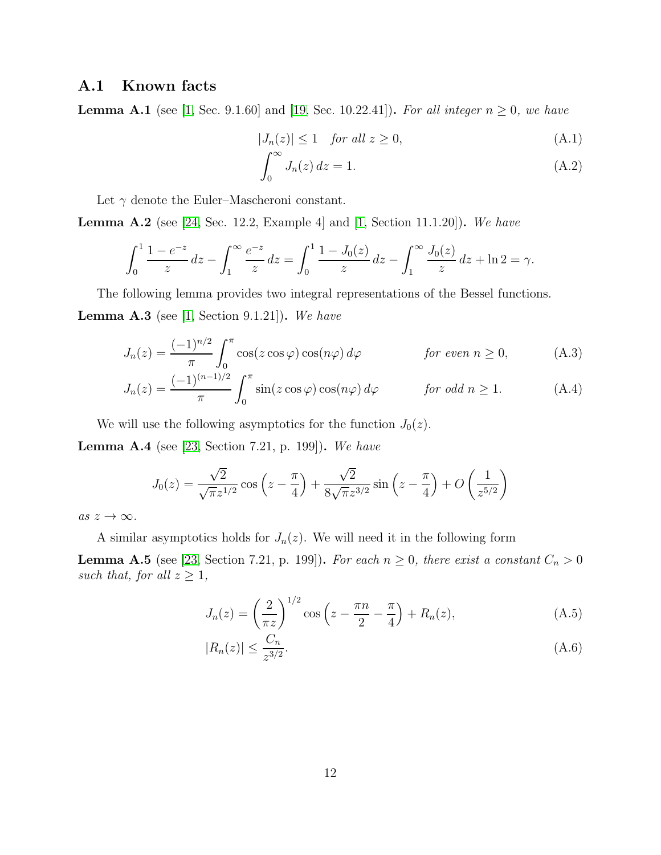### <span id="page-11-0"></span>A.1 Known facts

**Lemma A.1** (see [\[1,](#page-16-6) Sec. 9.1.60] and [\[19,](#page-17-14) Sec. 10.22.41]). For all integer  $n \ge 0$ , we have

$$
|J_n(z)| \le 1 \quad \text{for all } z \ge 0,
$$
\n(A.1)

<span id="page-11-8"></span><span id="page-11-7"></span><span id="page-11-3"></span><span id="page-11-2"></span>
$$
\int_0^\infty J_n(z) \, dz = 1. \tag{A.2}
$$

Let  $\gamma$  denote the Euler–Mascheroni constant.

<span id="page-11-1"></span>**Lemma A.2** (see [\[24,](#page-18-0) Sec. 12.2, Example 4] and  $[1, Section 11.1.20]$ . We have

$$
\int_0^1 \frac{1 - e^{-z}}{z} dz - \int_1^\infty \frac{e^{-z}}{z} dz = \int_0^1 \frac{1 - J_0(z)}{z} dz - \int_1^\infty \frac{J_0(z)}{z} dz + \ln 2 = \gamma.
$$

The following lemma provides two integral representations of the Bessel functions. **Lemma A.3** (see [\[1,](#page-16-6) Section 9.1.21]). We have

$$
J_n(z) = \frac{(-1)^{n/2}}{\pi} \int_0^\pi \cos(z \cos \varphi) \cos(n\varphi) d\varphi \qquad \text{for even } n \ge 0,
$$
 (A.3)

$$
J_n(z) = \frac{(-1)^{(n-1)/2}}{\pi} \int_0^\pi \sin(z \cos \varphi) \cos(n\varphi) d\varphi \qquad \text{for odd } n \ge 1.
$$
 (A.4)

We will use the following asymptotics for the function  $J_0(z)$ .

<span id="page-11-5"></span>Lemma A.4 (see [\[23,](#page-18-1) Section 7.21, p. 199]). We have

$$
J_0(z) = \frac{\sqrt{2}}{\sqrt{\pi}z^{1/2}} \cos\left(z - \frac{\pi}{4}\right) + \frac{\sqrt{2}}{8\sqrt{\pi}z^{3/2}} \sin\left(z - \frac{\pi}{4}\right) + O\left(\frac{1}{z^{5/2}}\right)
$$

as  $z \to \infty$ .

A similar asymptotics holds for  $J_n(z)$ . We will need it in the following form

<span id="page-11-4"></span>**Lemma A.5** (see [\[23,](#page-18-1) Section 7.21, p. 199]). For each  $n \geq 0$ , there exist a constant  $C_n > 0$ such that, for all  $z \geq 1$ ,

<span id="page-11-6"></span>
$$
J_n(z) = \left(\frac{2}{\pi z}\right)^{1/2} \cos\left(z - \frac{\pi n}{2} - \frac{\pi}{4}\right) + R_n(z),\tag{A.5}
$$

$$
|R_n(z)| \le \frac{C_n}{z^{3/2}}.\tag{A.6}
$$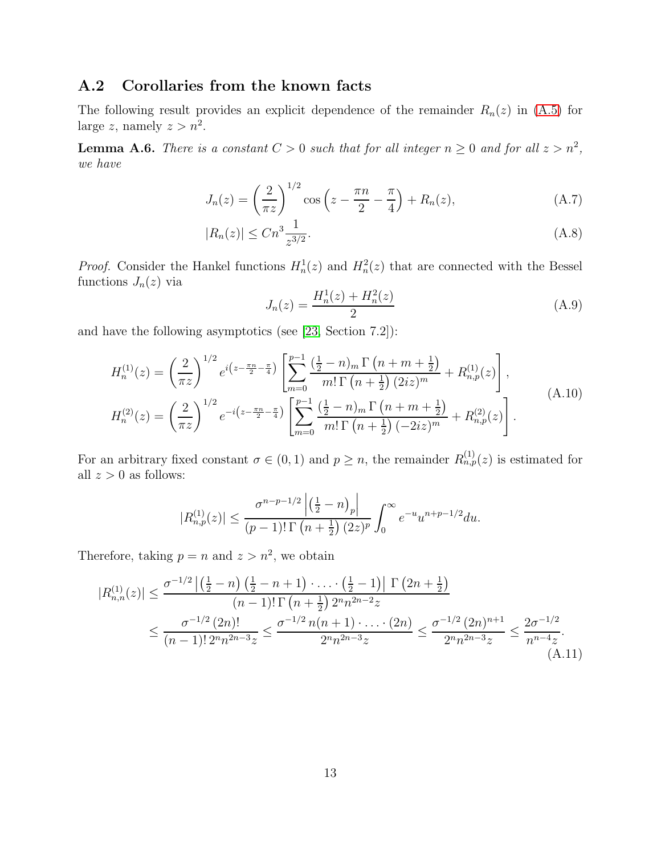### <span id="page-12-0"></span>A.2 Corollaries from the known facts

The following result provides an explicit dependence of the remainder  $R_n(z)$  in [\(A.5\)](#page-11-6) for large z, namely  $z > n^2$ .

<span id="page-12-3"></span>**Lemma A.6.** There is a constant  $C > 0$  such that for all integer  $n \geq 0$  and for all  $z > n^2$ , we have

$$
J_n(z) = \left(\frac{2}{\pi z}\right)^{1/2} \cos\left(z - \frac{\pi n}{2} - \frac{\pi}{4}\right) + R_n(z),\tag{A.7}
$$

$$
|R_n(z)| \le Cn^3 \frac{1}{z^{3/2}}.\tag{A.8}
$$

*Proof.* Consider the Hankel functions  $H_n^1(z)$  and  $H_n^2(z)$  that are connected with the Bessel functions  $J_n(z)$  via

<span id="page-12-2"></span>
$$
J_n(z) = \frac{H_n^1(z) + H_n^2(z)}{2} \tag{A.9}
$$

and have the following asymptotics (see [\[23,](#page-18-1) Section 7.2]):

<span id="page-12-1"></span>
$$
H_n^{(1)}(z) = \left(\frac{2}{\pi z}\right)^{1/2} e^{i\left(z - \frac{\pi n}{2} - \frac{\pi}{4}\right)} \left[\sum_{m=0}^{p-1} \frac{\left(\frac{1}{2} - n\right)_m \Gamma\left(n + m + \frac{1}{2}\right)}{m! \Gamma\left(n + \frac{1}{2}\right) (2iz)^m} + R_{n,p}^{(1)}(z)\right],
$$
  
\n
$$
H_n^{(2)}(z) = \left(\frac{2}{\pi z}\right)^{1/2} e^{-i\left(z - \frac{\pi n}{2} - \frac{\pi}{4}\right)} \left[\sum_{m=0}^{p-1} \frac{\left(\frac{1}{2} - n\right)_m \Gamma\left(n + m + \frac{1}{2}\right)}{m! \Gamma\left(n + \frac{1}{2}\right) (-2iz)^m} + R_{n,p}^{(2)}(z)\right].
$$
\n(A.10)

For an arbitrary fixed constant  $\sigma \in (0,1)$  and  $p \geq n$ , the remainder  $R_{n,p}^{(1)}(z)$  is estimated for all  $z > 0$  as follows:

$$
|R_{n,p}^{(1)}(z)| \le \frac{\sigma^{n-p-1/2} \left| \left(\frac{1}{2} - n\right)_p \right|}{(p-1)!\,\Gamma\left(n + \frac{1}{2}\right)(2z)^p} \int_0^\infty e^{-u} u^{n+p-1/2} du.
$$

Therefore, taking  $p = n$  and  $z > n^2$ , we obtain

$$
|R_{n,n}^{(1)}(z)| \leq \frac{\sigma^{-1/2} \left| \left(\frac{1}{2} - n\right) \left(\frac{1}{2} - n + 1\right) \cdot \ldots \cdot \left(\frac{1}{2} - 1\right) \right| \Gamma\left(2n + \frac{1}{2}\right)}{(n-1)!\,\Gamma\left(n + \frac{1}{2}\right) 2^n n^{2n-2} z} \leq \frac{\sigma^{-1/2} (2n)!}{(n-1)!\,2^n n^{2n-3} z} \leq \frac{\sigma^{-1/2} n(n+1) \cdot \ldots \cdot (2n)}{2^n n^{2n-3} z} \leq \frac{\sigma^{-1/2} (2n)^{n+1}}{2^n n^{2n-3} z} \leq \frac{2\sigma^{-1/2}}{n^{n-4} z}.
$$
\n(A.11)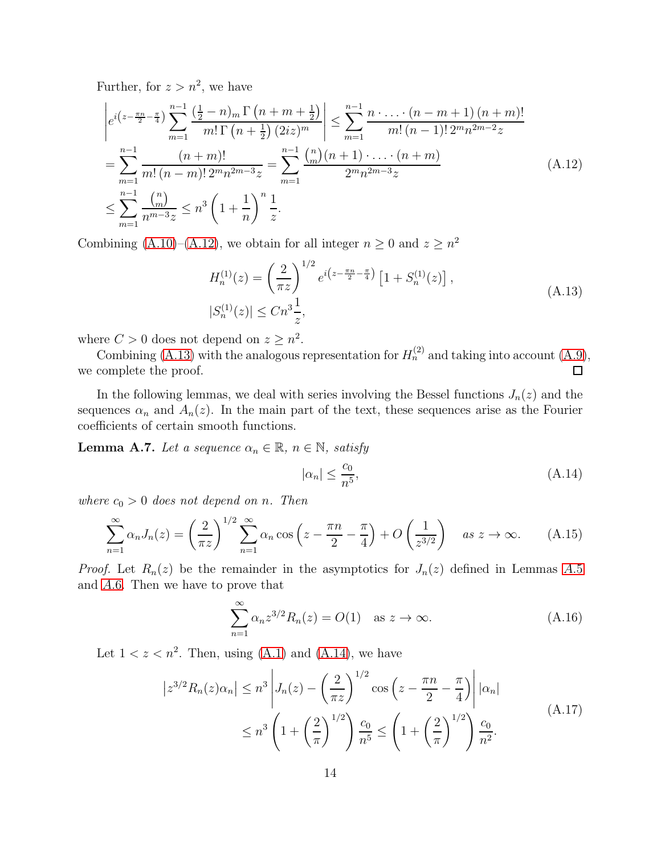Further, for  $z > n^2$ , we have

<span id="page-13-1"></span>
$$
\begin{split}\n&\left|e^{i\left(z-\frac{\pi n}{2}-\frac{\pi}{4}\right)}\sum_{m=1}^{n-1}\frac{\left(\frac{1}{2}-n\right)_{m}\Gamma\left(n+m+\frac{1}{2}\right)}{m!\Gamma\left(n+\frac{1}{2}\right)(2iz)^{m}}\right| \leq \sum_{m=1}^{n-1}\frac{n\cdot\ldots\cdot(n-m+1)\left(n+m\right)!}{m!\left(n-1\right)!2^{m}n^{2m-2}z} \\
&=\sum_{m=1}^{n-1}\frac{\left(n+m\right)!}{m!\left(n-m\right)!2^{m}n^{2m-3}z} = \sum_{m=1}^{n-1}\frac{\binom{n}{m}\left(n+1\right)\cdot\ldots\cdot(n+m)}{2^{m}n^{2m-3}z} \\
&\leq \sum_{m=1}^{n-1}\frac{\binom{n}{m}}{n^{m-3}z} \leq n^{3}\left(1+\frac{1}{n}\right)^{n}\frac{1}{z}.\n\end{split} \tag{A.12}
$$

Combining [\(A.10\)](#page-12-1)–[\(A.12\)](#page-13-1), we obtain for all integer  $n \geq 0$  and  $z \geq n^2$ 

<span id="page-13-2"></span>
$$
H_n^{(1)}(z) = \left(\frac{2}{\pi z}\right)^{1/2} e^{i\left(z - \frac{\pi n}{2} - \frac{\pi}{4}\right)} \left[1 + S_n^{(1)}(z)\right],
$$
  
\n
$$
|S_n^{(1)}(z)| \le Cn^3 \frac{1}{z},
$$
\n(A.13)

where  $C > 0$  does not depend on  $z \geq n^2$ .

Combining [\(A.13\)](#page-13-2) with the analogous representation for  $H_n^{(2)}$  and taking into account [\(A.9\)](#page-12-2), we complete the proof. 口

In the following lemmas, we deal with series involving the Bessel functions  $J_n(z)$  and the sequences  $\alpha_n$  and  $A_n(z)$ . In the main part of the text, these sequences arise as the Fourier coefficients of certain smooth functions.

<span id="page-13-0"></span>**Lemma A.7.** Let a sequence  $\alpha_n \in \mathbb{R}$ ,  $n \in \mathbb{N}$ , satisfy

<span id="page-13-3"></span>
$$
|\alpha_n| \le \frac{c_0}{n^5},\tag{A.14}
$$

where  $c_0 > 0$  does not depend on n. Then

$$
\sum_{n=1}^{\infty} \alpha_n J_n(z) = \left(\frac{2}{\pi z}\right)^{1/2} \sum_{n=1}^{\infty} \alpha_n \cos\left(z - \frac{\pi n}{2} - \frac{\pi}{4}\right) + O\left(\frac{1}{z^{3/2}}\right) \quad \text{as } z \to \infty. \tag{A.15}
$$

*Proof.* Let  $R_n(z)$  be the remainder in the asymptotics for  $J_n(z)$  defined in Lemmas [A.](#page-11-4)5 and [A.](#page-12-3)6. Then we have to prove that

<span id="page-13-5"></span>
$$
\sum_{n=1}^{\infty} \alpha_n z^{3/2} R_n(z) = O(1) \quad \text{as } z \to \infty.
$$
 (A.16)

Let  $1 < z < n^2$ . Then, using [\(A.1\)](#page-11-7) and [\(A.14\)](#page-13-3), we have

<span id="page-13-4"></span>
$$
\left| z^{3/2} R_n(z) \alpha_n \right| \le n^3 \left| J_n(z) - \left( \frac{2}{\pi z} \right)^{1/2} \cos \left( z - \frac{\pi n}{2} - \frac{\pi}{4} \right) \right| |\alpha_n|
$$
  
 
$$
\le n^3 \left( 1 + \left( \frac{2}{\pi} \right)^{1/2} \right) \frac{c_0}{n^5} \le \left( 1 + \left( \frac{2}{\pi} \right)^{1/2} \right) \frac{c_0}{n^2}.
$$
 (A.17)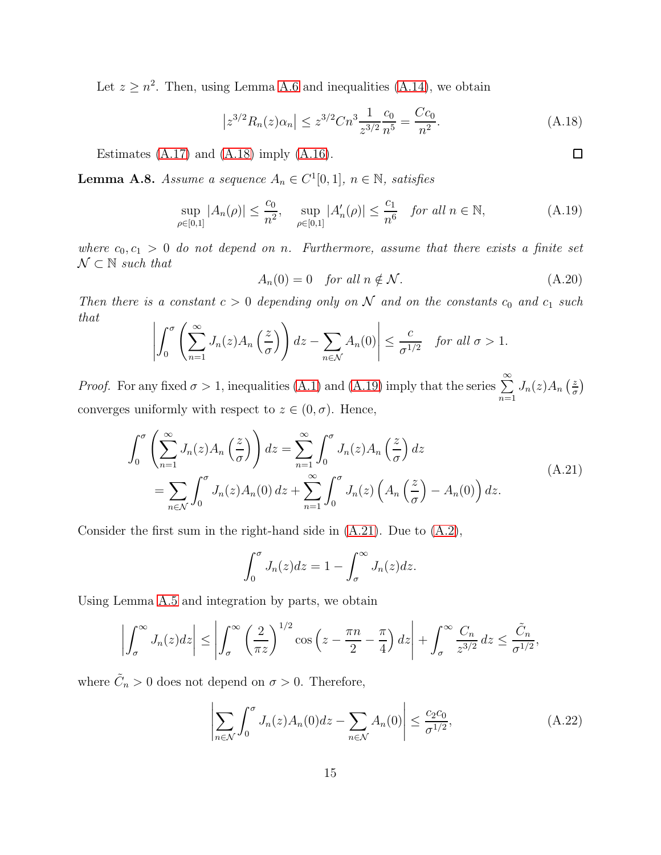Let  $z \geq n^2$ . Then, using Lemma [A.6](#page-12-3) and inequalities [\(A.14\)](#page-13-3), we obtain

<span id="page-14-1"></span>
$$
\left| z^{3/2} R_n(z) \alpha_n \right| \le z^{3/2} C n^3 \frac{1}{z^{3/2}} \frac{c_0}{n^5} = \frac{C c_0}{n^2}.
$$
 (A.18)

Estimates  $(A.17)$  and  $(A.18)$  imply  $(A.16)$ .

<span id="page-14-0"></span>**Lemma A.8.** Assume a sequence  $A_n \in C^1[0,1]$ ,  $n \in \mathbb{N}$ , satisfies

<span id="page-14-2"></span>
$$
\sup_{\rho \in [0,1]} |A_n(\rho)| \le \frac{c_0}{n^2}, \quad \sup_{\rho \in [0,1]} |A'_n(\rho)| \le \frac{c_1}{n^6} \quad \text{for all } n \in \mathbb{N}, \tag{A.19}
$$

where  $c_0, c_1 > 0$  do not depend on n. Furthermore, assume that there exists a finite set  $\mathcal{N} \subset \mathbb{N}$  such that

$$
A_n(0) = 0 \quad \text{for all } n \notin \mathcal{N}.
$$
 (A.20)

Then there is a constant  $c > 0$  depending only on N and on the constants  $c_0$  and  $c_1$  such that

$$
\left| \int_0^{\sigma} \left( \sum_{n=1}^{\infty} J_n(z) A_n \left( \frac{z}{\sigma} \right) \right) dz - \sum_{n \in \mathcal{N}} A_n(0) \right| \leq \frac{c}{\sigma^{1/2}} \quad \text{for all } \sigma > 1.
$$

*Proof.* For any fixed  $\sigma > 1$ , inequalities [\(A.1\)](#page-11-7) and [\(A.19\)](#page-14-2) imply that the series  $\sum_{n=1}^{\infty}$  $n=1$  $J_n(z)A_n\left(\frac{z}{\sigma}\right)$  $\frac{z}{\sigma}$ converges uniformly with respect to  $z \in (0, \sigma)$ . Hence,

<span id="page-14-3"></span>
$$
\int_0^{\sigma} \left( \sum_{n=1}^{\infty} J_n(z) A_n\left(\frac{z}{\sigma}\right) \right) dz = \sum_{n=1}^{\infty} \int_0^{\sigma} J_n(z) A_n\left(\frac{z}{\sigma}\right) dz
$$
\n
$$
= \sum_{n \in \mathcal{N}} \int_0^{\sigma} J_n(z) A_n(0) dz + \sum_{n=1}^{\infty} \int_0^{\sigma} J_n(z) \left( A_n\left(\frac{z}{\sigma}\right) - A_n(0) \right) dz.
$$
\n(A.21)

Consider the first sum in the right-hand side in [\(A.21\)](#page-14-3). Due to [\(A.2\)](#page-11-8),

$$
\int_0^{\sigma} J_n(z)dz = 1 - \int_{\sigma}^{\infty} J_n(z)dz.
$$

Using Lemma [A.5](#page-11-6) and integration by parts, we obtain

$$
\left|\int_{\sigma}^{\infty} J_n(z)dz\right| \leq \left|\int_{\sigma}^{\infty} \left(\frac{2}{\pi z}\right)^{1/2} \cos\left(z - \frac{\pi n}{2} - \frac{\pi}{4}\right)dz\right| + \int_{\sigma}^{\infty} \frac{C_n}{z^{3/2}}dz \leq \frac{\tilde{C}_n}{\sigma^{1/2}},
$$

where  $\tilde{C}_n > 0$  does not depend on  $\sigma > 0$ . Therefore,

<span id="page-14-4"></span>
$$
\left| \sum_{n \in \mathcal{N}} \int_0^\sigma J_n(z) A_n(0) dz - \sum_{n \in \mathcal{N}} A_n(0) \right| \le \frac{c_2 c_0}{\sigma^{1/2}},\tag{A.22}
$$

 $\Box$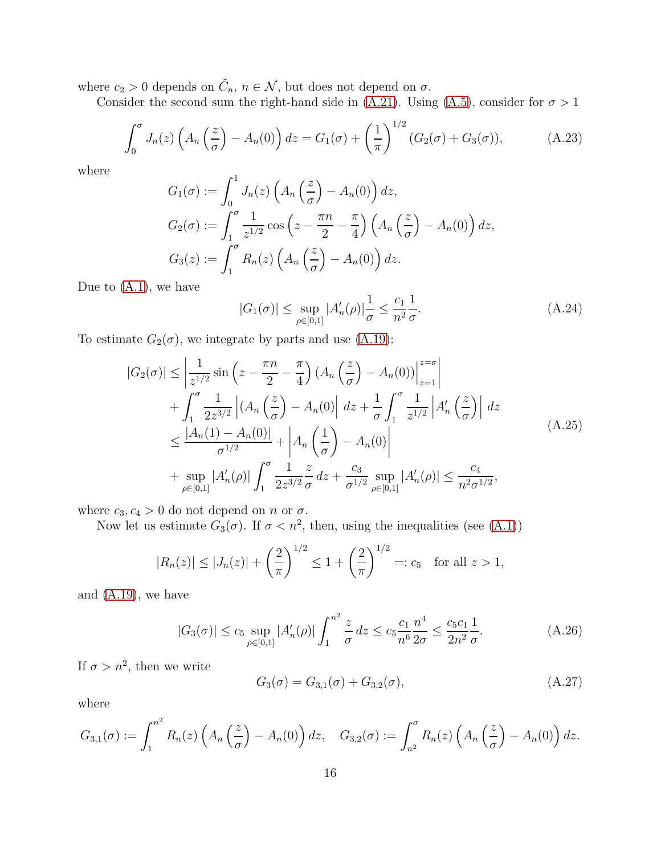where  $c_2 > 0$  depends on  $\tilde{C}_n$ ,  $n \in \mathcal{N}$ , but does not depend on  $\sigma$ .

Consider the second sum the right-hand side in [\(A.21\)](#page-14-3). Using [\(A.5\)](#page-11-6), consider for  $\sigma > 1$ 

<span id="page-15-1"></span>
$$
\int_0^\sigma J_n(z) \left( A_n \left( \frac{z}{\sigma} \right) - A_n(0) \right) dz = G_1(\sigma) + \left( \frac{1}{\pi} \right)^{1/2} (G_2(\sigma) + G_3(\sigma)), \tag{A.23}
$$

where

$$
G_1(\sigma) := \int_0^1 J_n(z) \left( A_n \left( \frac{z}{\sigma} \right) - A_n(0) \right) dz,
$$
  
\n
$$
G_2(\sigma) := \int_1^{\sigma} \frac{1}{z^{1/2}} \cos \left( z - \frac{\pi n}{2} - \frac{\pi}{4} \right) \left( A_n \left( \frac{z}{\sigma} \right) - A_n(0) \right) dz,
$$
  
\n
$$
G_3(z) := \int_1^{\sigma} R_n(z) \left( A_n \left( \frac{z}{\sigma} \right) - A_n(0) \right) dz.
$$

Due to  $(A.1)$ , we have

$$
|G_1(\sigma)| \le \sup_{\rho \in [0,1]} |A'_n(\rho)| \frac{1}{\sigma} \le \frac{c_1}{n^2} \frac{1}{\sigma}.
$$
 (A.24)

To estimate  $G_2(\sigma)$ , we integrate by parts and use [\(A.19\)](#page-14-2):

$$
|G_2(\sigma)| \leq \left| \frac{1}{z^{1/2}} \sin \left( z - \frac{\pi n}{2} - \frac{\pi}{4} \right) (A_n \left( \frac{z}{\sigma} \right) - A_n(0)) \right|_{z=1}^{z=\sigma} \right|
$$
  
+ 
$$
\int_1^{\sigma} \frac{1}{2z^{3/2}} \left| (A_n \left( \frac{z}{\sigma} \right) - A_n(0)) \right| dz + \frac{1}{\sigma} \int_1^{\sigma} \frac{1}{z^{1/2}} \left| A'_n \left( \frac{z}{\sigma} \right) \right| dz
$$
  

$$
\leq \frac{|A_n(1) - A_n(0)|}{\sigma^{1/2}} + \left| A_n \left( \frac{1}{\sigma} \right) - A_n(0) \right|
$$
  
+ 
$$
\sup_{\rho \in [0,1]} |A'_n(\rho)| \int_1^{\sigma} \frac{1}{2z^{3/2}} \frac{z}{\sigma} dz + \frac{c_3}{\sigma^{1/2}} \sup_{\rho \in [0,1]} |A'_n(\rho)| \leq \frac{c_4}{n^2 \sigma^{1/2}},
$$
 (A.25)

where  $c_3, c_4 > 0$  do not depend on *n* or  $\sigma$ .

Now let us estimate  $G_3(\sigma)$ . If  $\sigma < n^2$ , then, using the inequalities (see [\(A.1\)](#page-11-7))

$$
|R_n(z)| \le |J_n(z)| + \left(\frac{2}{\pi}\right)^{1/2} \le 1 + \left(\frac{2}{\pi}\right)^{1/2} =: c_5 \text{ for all } z > 1,
$$

and [\(A.19\)](#page-14-2), we have

<span id="page-15-0"></span>
$$
|G_3(\sigma)| \le c_5 \sup_{\rho \in [0,1]} |A'_n(\rho)| \int_1^{n^2} \frac{z}{\sigma} dz \le c_5 \frac{c_1}{n^6} \frac{n^4}{2\sigma} \le \frac{c_5 c_1}{2n^2} \frac{1}{\sigma}.
$$
 (A.26)

If  $\sigma > n^2$ , then we write

$$
G_3(\sigma) = G_{3,1}(\sigma) + G_{3,2}(\sigma), \tag{A.27}
$$

where

$$
G_{3,1}(\sigma) := \int_1^{n^2} R_n(z) \left( A_n\left(\frac{z}{\sigma}\right) - A_n(0) \right) dz, \quad G_{3,2}(\sigma) := \int_{n^2}^{\sigma} R_n(z) \left( A_n\left(\frac{z}{\sigma}\right) - A_n(0) \right) dz.
$$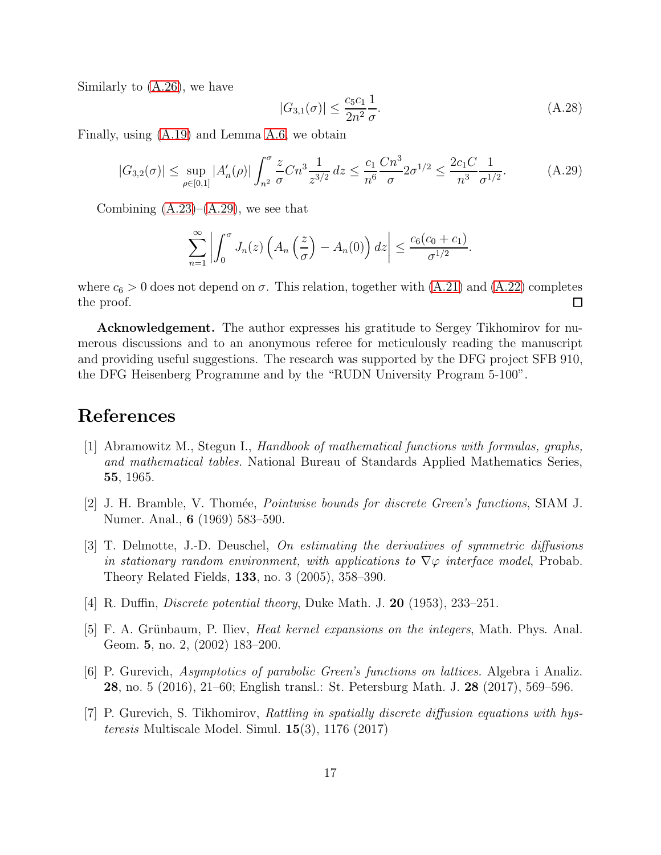Similarly to [\(A.26\)](#page-15-0), we have

$$
|G_{3,1}(\sigma)| \le \frac{c_5 c_1}{2n^2} \frac{1}{\sigma}.\tag{A.28}
$$

Finally, using [\(A.19\)](#page-14-2) and Lemma [A.6,](#page-12-3) we obtain

<span id="page-16-7"></span>
$$
|G_{3,2}(\sigma)| \le \sup_{\rho \in [0,1]} |A'_n(\rho)| \int_{n^2}^{\sigma} \frac{z}{\sigma} C n^3 \frac{1}{z^{3/2}} dz \le \frac{c_1}{n^6} \frac{C n^3}{\sigma} 2 \sigma^{1/2} \le \frac{2c_1 C}{n^3} \frac{1}{\sigma^{1/2}}.
$$
 (A.29)

Combining  $(A.23)$ – $(A.29)$ , we see that

$$
\sum_{n=1}^{\infty} \left| \int_0^{\sigma} J_n(z) \left( A_n \left( \frac{z}{\sigma} \right) - A_n(0) \right) dz \right| \leq \frac{c_6 (c_0 + c_1)}{\sigma^{1/2}}.
$$

where  $c_6 > 0$  does not depend on  $\sigma$ . This relation, together with  $(A.21)$  and  $(A.22)$  completes the proof.  $\Box$ 

Acknowledgement. The author expresses his gratitude to Sergey Tikhomirov for numerous discussions and to an anonymous referee for meticulously reading the manuscript and providing useful suggestions. The research was supported by the DFG project SFB 910, the DFG Heisenberg Programme and by the "RUDN University Program 5-100".

### <span id="page-16-6"></span>References

- [1] Abramowitz M., Stegun I., Handbook of mathematical functions with formulas, graphs, and mathematical tables. National Bureau of Standards Applied Mathematics Series, 55, 1965.
- <span id="page-16-1"></span>[2] J. H. Bramble, V. Thomée, *Pointwise bounds for discrete Green's functions*, SIAM J. Numer. Anal., 6 (1969) 583–590.
- <span id="page-16-2"></span>[3] T. Delmotte, J.-D. Deuschel, On estimating the derivatives of symmetric diffusions in stationary random environment, with applications to  $\nabla\varphi$  interface model, Probab. Theory Related Fields, 133, no. 3 (2005), 358–390.
- <span id="page-16-3"></span><span id="page-16-0"></span>[4] R. Duffin, *Discrete potential theory*, Duke Math. J. **20** (1953), 233–251.
- [5] F. A. Grünbaum, P. Iliev, *Heat kernel expansions on the integers*, Math. Phys. Anal. Geom. 5, no. 2, (2002) 183–200.
- <span id="page-16-4"></span>[6] P. Gurevich, Asymptotics of parabolic Green's functions on lattices. Algebra i Analiz. 28, no. 5 (2016), 21–60; English transl.: St. Petersburg Math. J. 28 (2017), 569–596.
- <span id="page-16-5"></span>[7] P. Gurevich, S. Tikhomirov, Rattling in spatially discrete diffusion equations with hysteresis Multiscale Model. Simul. 15(3), 1176 (2017)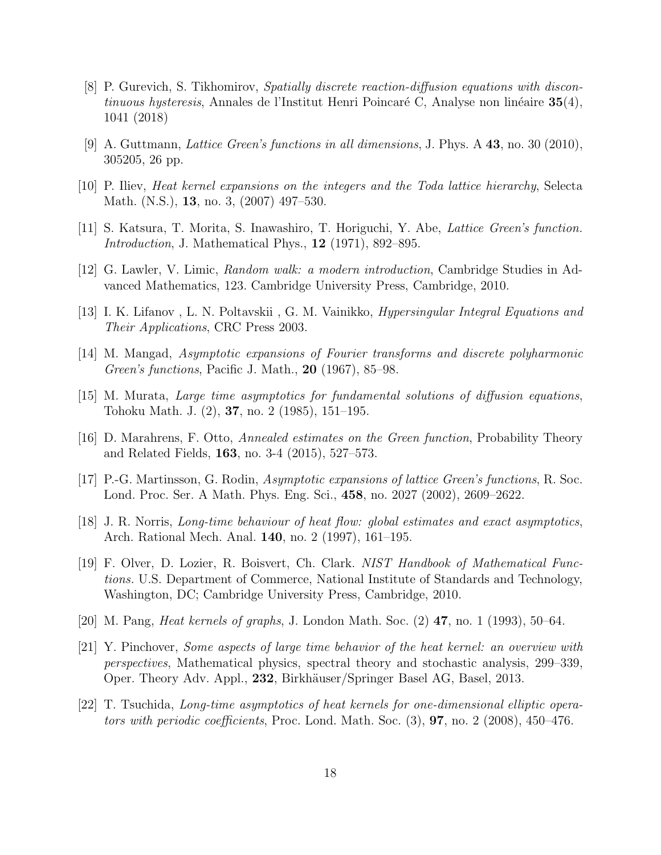- <span id="page-17-13"></span>[8] P. Gurevich, S. Tikhomirov, Spatially discrete reaction-diffusion equations with discontinuous hysteresis, Annales de l'Institut Henri Poincaré C, Analyse non linéaire  $35(4)$ , 1041 (2018)
- <span id="page-17-12"></span><span id="page-17-0"></span>[9] A. Guttmann, Lattice Green's functions in all dimensions, J. Phys. A 43, no. 30 (2010), 305205, 26 pp.
- <span id="page-17-1"></span>[10] P. Iliev, Heat kernel expansions on the integers and the Toda lattice hierarchy, Selecta Math. (N.S.), 13, no. 3, (2007) 497–530.
- <span id="page-17-10"></span>[11] S. Katsura, T. Morita, S. Inawashiro, T. Horiguchi, Y. Abe, Lattice Green's function. Introduction, J. Mathematical Phys., 12 (1971), 892–895.
- <span id="page-17-5"></span>[12] G. Lawler, V. Limic, Random walk: a modern introduction, Cambridge Studies in Advanced Mathematics, 123. Cambridge University Press, Cambridge, 2010.
- <span id="page-17-2"></span>[13] I. K. Lifanov , L. N. Poltavskii , G. M. Vainikko, Hypersingular Integral Equations and Their Applications, CRC Press 2003.
- <span id="page-17-6"></span>[14] M. Mangad, Asymptotic expansions of Fourier transforms and discrete polyharmonic Green's functions, Pacific J. Math., 20 (1967), 85–98.
- <span id="page-17-3"></span>[15] M. Murata, Large time asymptotics for fundamental solutions of diffusion equations, Tohoku Math. J. (2), 37, no. 2 (1985), 151–195.
- <span id="page-17-4"></span>[16] D. Marahrens, F. Otto, Annealed estimates on the Green function, Probability Theory and Related Fields, 163, no. 3-4 (2015), 527–573.
- [17] P.-G. Martinsson, G. Rodin, Asymptotic expansions of lattice Green's functions, R. Soc. Lond. Proc. Ser. A Math. Phys. Eng. Sci., 458, no. 2027 (2002), 2609–2622.
- <span id="page-17-7"></span>[18] J. R. Norris, Long-time behaviour of heat flow: global estimates and exact asymptotics, Arch. Rational Mech. Anal. 140, no. 2 (1997), 161–195.
- <span id="page-17-14"></span>[19] F. Olver, D. Lozier, R. Boisvert, Ch. Clark. NIST Handbook of Mathematical Functions. U.S. Department of Commerce, National Institute of Standards and Technology, Washington, DC; Cambridge University Press, Cambridge, 2010.
- <span id="page-17-11"></span><span id="page-17-9"></span>[20] M. Pang, Heat kernels of graphs, J. London Math. Soc. (2) 47, no. 1 (1993), 50–64.
- [21] Y. Pinchover, Some aspects of large time behavior of the heat kernel: an overview with perspectives, Mathematical physics, spectral theory and stochastic analysis, 299–339, Oper. Theory Adv. Appl., 232, Birkh¨auser/Springer Basel AG, Basel, 2013.
- <span id="page-17-8"></span>[22] T. Tsuchida, Long-time asymptotics of heat kernels for one-dimensional elliptic operators with periodic coefficients, Proc. Lond. Math. Soc.  $(3)$ , **97**, no. 2  $(2008)$ , 450–476.